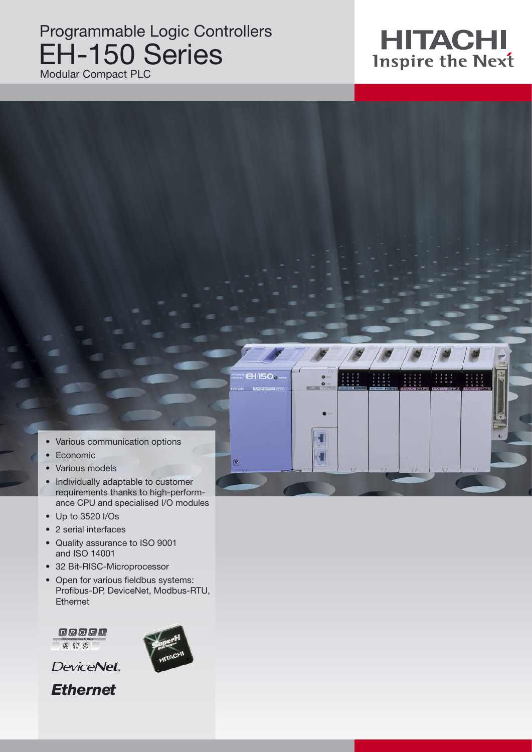## Programmable Logic Controllers EH-150 Series

Modular Compact PLC





- Various communication options
- Economic
- Various models
- Individually adaptable to customer requirements thanks to high-performance CPU and specialised I/O modules
- Up to 3520 I/Os
- 2 serial interfaces
- Quality assurance to ISO 9001 and ISO 14001
- 32 Bit-RISC-Microprocessor
- Open for various fieldbus systems: Profibus-DP, DeviceNet, Modbus-RTU, Ethernet

*PROCESS FIELD BUS B U SP R O F I*



DeviceNet. **Ethernet**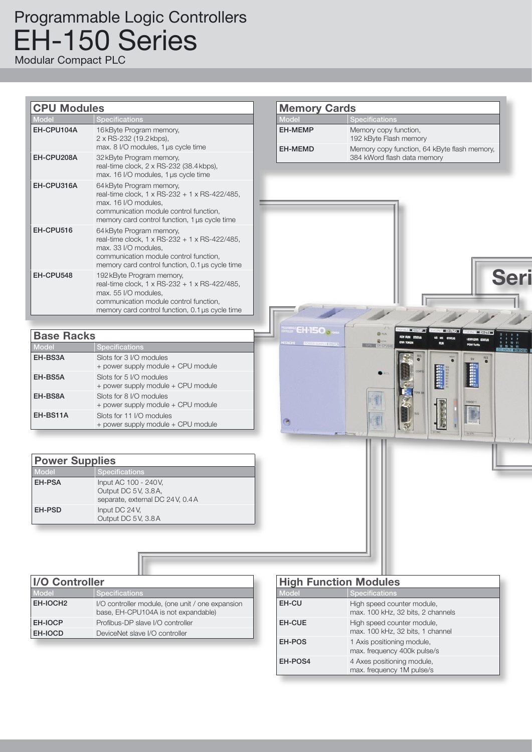## Programmable Logic Controllers EH-150 Series

Modular Compact PLC

| <b>CPU Modules</b>    |                                                                                                                                                                                                 | <b>Memory Cards</b> |                                                                                               |
|-----------------------|-------------------------------------------------------------------------------------------------------------------------------------------------------------------------------------------------|---------------------|-----------------------------------------------------------------------------------------------|
| Model                 | Specifications                                                                                                                                                                                  | Model               | <b>Specifications</b>                                                                         |
| EH-CPU104A            | 16 kByte Program memory,<br>2 x RS-232 (19.2 kbps),                                                                                                                                             | <b>EH-MEMP</b>      | Memory copy function,<br>192 kByte Flash memory                                               |
|                       | max. 8 I/O modules, 1 µs cycle time                                                                                                                                                             | <b>EH-MEMD</b>      | Memory copy function, 64 kByte flash memory,                                                  |
| EH-CPU208A            | 32 kByte Program memory,<br>real-time clock, 2 x RS-232 (38.4 kbps),<br>max. 16 I/O modules, 1 µs cycle time                                                                                    |                     | 384 kWord flash data memory                                                                   |
| EH-CPU316A            | 64 kByte Program memory,<br>real-time clock, 1 x RS-232 + 1 x RS-422/485,<br>max. 16 I/O modules,<br>communication module control function,<br>memory card control function, 1 µs cycle time    |                     |                                                                                               |
| EH-CPU516             | 64 kByte Program memory,<br>real-time clock, 1 x RS-232 + 1 x RS-422/485,<br>max. 33 I/O modules,<br>communication module control function,<br>memory card control function, 0.1 µs cycle time  |                     |                                                                                               |
| EH-CPU548             | 192 kByte Program memory,<br>real-time clock, 1 x RS-232 + 1 x RS-422/485,<br>max. 55 I/O modules,<br>communication module control function,<br>memory card control function, 0.1 µs cycle time |                     |                                                                                               |
| <b>Base Racks</b>     |                                                                                                                                                                                                 |                     |                                                                                               |
| Model                 | Specifications                                                                                                                                                                                  |                     |                                                                                               |
| EH-BS3A               | Slots for 3 I/O modules<br>+ power supply module + CPU module                                                                                                                                   |                     |                                                                                               |
| EH-BS5A               | Slots for 5 I/O modules<br>+ power supply module + CPU module                                                                                                                                   |                     | itti i ti<br><b>CEEEE</b>                                                                     |
| EH-BS8A               | Slots for 8 I/O modules<br>+ power supply module + CPU module                                                                                                                                   |                     |                                                                                               |
| EH-BS11A              | Slots for 11 I/O modules<br>+ power supply module + CPU module                                                                                                                                  |                     |                                                                                               |
| <b>Power Supplies</b> |                                                                                                                                                                                                 |                     |                                                                                               |
| Model<br>EH-PSA       | Specifications<br>Input AC 100 - 240V,<br>Output DC 5V, 3.8A,                                                                                                                                   |                     |                                                                                               |
| EH-PSD                | separate, external DC 24V, 0.4A<br>Input DC 24V,<br>Output DC 5V, 3.8A                                                                                                                          |                     |                                                                                               |
|                       |                                                                                                                                                                                                 |                     |                                                                                               |
|                       |                                                                                                                                                                                                 |                     |                                                                                               |
| <b>I/O Controller</b> |                                                                                                                                                                                                 |                     | <b>High Function Modules</b>                                                                  |
| Model                 | Specifications                                                                                                                                                                                  | Model               | <b>Specifications</b>                                                                         |
| EH-IOCH2              | I/O controller module, (one unit / one expansion<br>base, EH-CPU104A is not expandable)                                                                                                         | EH-CU               | High speed counter module,<br>max. 100 kHz, 32 bits, 2 channels                               |
| EH-IOCP               | Profibus-DP slave I/O controller                                                                                                                                                                | EH-CUE              | High speed counter module,                                                                    |
| EH-IOCD               | DeviceNet slave I/O controller                                                                                                                                                                  | EH-POS              | max. 100 kHz, 32 bits, 1 channel<br>1 Axis positioning module,<br>max. frequency 400k pulse/s |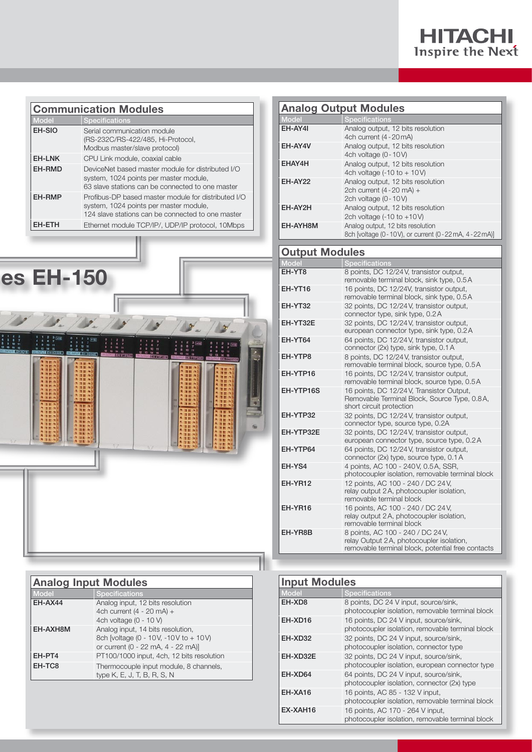| <b>Communication Modules</b> |                                                                                                                                                    |  |  |
|------------------------------|----------------------------------------------------------------------------------------------------------------------------------------------------|--|--|
| Model                        | <b>Specifications</b>                                                                                                                              |  |  |
| EH-SIO                       | Serial communication module<br>(RS-232C/RS-422/485, Hi-Protocol,<br>Modbus master/slave protocol)                                                  |  |  |
| EH-LNK                       | CPU Link module, coaxial cable                                                                                                                     |  |  |
| EH-RMD                       | DeviceNet based master module for distributed I/O<br>system, 1024 points per master module,<br>63 slave stations can be connected to one master    |  |  |
| EH-RMP                       | Profibus-DP based master module for distributed I/O<br>system, 1024 points per master module,<br>124 slave stations can be connected to one master |  |  |
| FH-FTH                       | Ethernet module TCP/IP/, UDP/IP protocol, 10Mbps                                                                                                   |  |  |



| <b>Analog Output Modules</b> |                                                                                         |  |  |  |  |
|------------------------------|-----------------------------------------------------------------------------------------|--|--|--|--|
| Model                        | <b>Specifications</b>                                                                   |  |  |  |  |
| EH-AY4I                      | Analog output, 12 bits resolution                                                       |  |  |  |  |
|                              | 4ch current (4 - 20 mA)                                                                 |  |  |  |  |
| EH-AY4V                      | Analog output, 12 bits resolution                                                       |  |  |  |  |
|                              | 4ch voltage $(0 - 10V)$                                                                 |  |  |  |  |
| EHAY4H                       | Analog output, 12 bits resolution                                                       |  |  |  |  |
| EH-AY22                      | 4ch voltage $(-10 \text{ to } + 10 \text{ V})$                                          |  |  |  |  |
|                              | Analog output, 12 bits resolution<br>2ch current (4 - 20 mA) +                          |  |  |  |  |
|                              | 2ch voltage (0 - 10 V)                                                                  |  |  |  |  |
| EH-AY2H                      | Analog output, 12 bits resolution                                                       |  |  |  |  |
|                              | 2ch voltage $(-10 \text{ to } +10 \text{ V})$                                           |  |  |  |  |
| EH-AYH8M                     | Analog output, 12 bits resolution                                                       |  |  |  |  |
|                              | 8ch [voltage (0 - 10 V), or current (0 - 22 mA, 4 - 22 mA)]                             |  |  |  |  |
|                              |                                                                                         |  |  |  |  |
| <b>Output Modules</b>        |                                                                                         |  |  |  |  |
| <b>Model</b>                 | <b>Specifications</b>                                                                   |  |  |  |  |
| EH-YT8                       | 8 points, DC 12/24V, transistor output,                                                 |  |  |  |  |
|                              | removable terminal block, sink type, 0.5A                                               |  |  |  |  |
| EH-YT16                      | 16 points, DC 12/24V, transistor output,                                                |  |  |  |  |
| EH-YT32                      | removable terminal block, sink type, 0.5A<br>32 points, DC 12/24V, transistor output,   |  |  |  |  |
|                              | connector type, sink type, 0.2A                                                         |  |  |  |  |
| EH-YT32E                     | 32 points, DC 12/24V, transistor output,                                                |  |  |  |  |
|                              | european connector type, sink type, 0.2A                                                |  |  |  |  |
| EH-YT64                      | 64 points, DC 12/24V, transistor output,                                                |  |  |  |  |
|                              | connector (2x) type, sink type, 0.1 A                                                   |  |  |  |  |
| EH-YTP8                      | 8 points, DC 12/24V, transistor output,                                                 |  |  |  |  |
|                              | removable terminal block, source type, 0.5A                                             |  |  |  |  |
| EH-YTP16                     | 16 points, DC 12/24V, transistor output,                                                |  |  |  |  |
| EH-YTP16S                    | removable terminal block, source type, 0.5A<br>16 points, DC 12/24V, Transistor Output, |  |  |  |  |
|                              | Removable Terminal Block, Source Type, 0.8A,                                            |  |  |  |  |
|                              | short circuit protection                                                                |  |  |  |  |
| EH-YTP32                     | 32 points, DC 12/24V, transistor output,                                                |  |  |  |  |
|                              | connector type, source type, 0.2A                                                       |  |  |  |  |
| EH-YTP32E                    | 32 points, DC 12/24V, transistor output,                                                |  |  |  |  |
|                              | european connector type, source type, 0.2A                                              |  |  |  |  |
| EH-YTP64                     | 64 points, DC 12/24V, transistor output,<br>connector (2x) type, source type, 0.1 A     |  |  |  |  |
| EH-YS4                       | 4 points, AC 100 - 240V, 0.5A, SSR,                                                     |  |  |  |  |
|                              | photocoupler isolation, removable terminal block                                        |  |  |  |  |
| EH-YR12                      | 12 points, AC 100 - 240 / DC 24V,                                                       |  |  |  |  |
|                              | relay output 2A, photocoupler isolation,                                                |  |  |  |  |
|                              | removable terminal block                                                                |  |  |  |  |
| EH-YR16                      | 16 points, AC 100 - 240 / DC 24V,                                                       |  |  |  |  |
|                              | relay output 2A, photocoupler isolation,<br>removable terminal block                    |  |  |  |  |
| EH-YR8B                      | 8 points, AC 100 - 240 / DC 24V,                                                        |  |  |  |  |
|                              | relay Output 2A, photocoupler isolation,                                                |  |  |  |  |
|                              | removable terminal block, potential free contacts                                       |  |  |  |  |

| <b>Analog Input Modules</b> |                                                                                                                  |  |  |  |
|-----------------------------|------------------------------------------------------------------------------------------------------------------|--|--|--|
| <b>Model</b>                | <b>Specifications</b>                                                                                            |  |  |  |
| EH-AX44                     | Analog input, 12 bits resolution<br>4ch current (4 - 20 mA) +<br>4ch voltage $(0 - 10 V)$                        |  |  |  |
| EH-AXH8M                    | Analog input, 14 bits resolution,<br>8ch [voltage (0 - 10V, -10V to + 10V)<br>or current (0 - 22 mA, 4 - 22 mA)] |  |  |  |
| EH-PT4                      | PT100/1000 input, 4ch, 12 bits resolution                                                                        |  |  |  |
| EH-TC8                      | Thermocouple input module, 8 channels,<br>type K, E, J, T, B, R, S, N                                            |  |  |  |

| <b>Input Modules</b> |                                                                                            |  |  |
|----------------------|--------------------------------------------------------------------------------------------|--|--|
| Model                | <b>Specifications</b>                                                                      |  |  |
| EH-XD8               | 8 points, DC 24 V input, source/sink,<br>photocoupler isolation, removable terminal block  |  |  |
| EH-XD16              | 16 points, DC 24 V input, source/sink,<br>photocoupler isolation, removable terminal block |  |  |
| EH-XD32              | 32 points, DC 24 V input, source/sink,<br>photocoupler isolation, connector type           |  |  |
| EH-XD32E             | 32 points, DC 24 V input, source/sink,<br>photocoupler isolation, european connector type  |  |  |
| EH-XD64              | 64 points, DC 24 V input, source/sink,<br>photocoupler isolation, connector (2x) type      |  |  |
| EH-XA16              | 16 points, AC 85 - 132 V input,<br>photocoupler isolation, removable terminal block        |  |  |
| EX-XAH16             | 16 points, AC 170 - 264 V input,<br>photocoupler isolation, removable terminal block       |  |  |